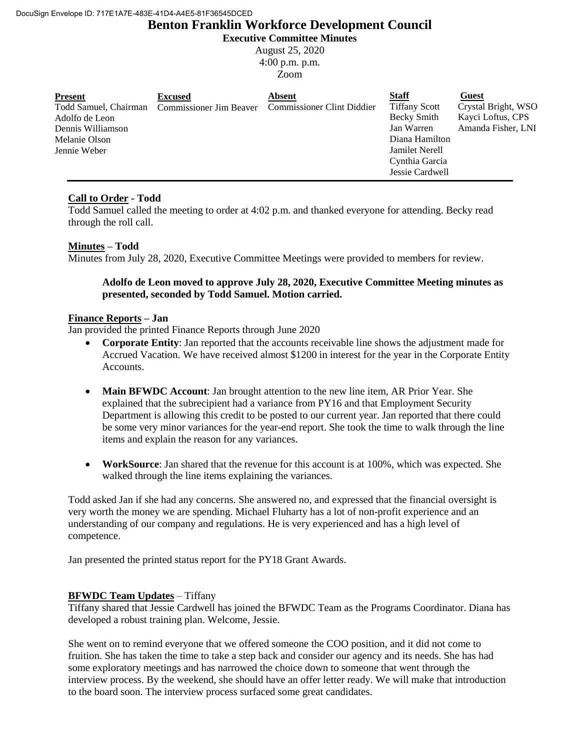# **Benton Franklin Workforce Development Council**

**Executive Committee Minutes**

August 25, 2020 4:00 p.m. p.m.

Zoom

| <b>Present</b>    | <b>Excused</b> | <b>Absent</b>                                                            | <b>Staff</b>          | Guest               |
|-------------------|----------------|--------------------------------------------------------------------------|-----------------------|---------------------|
|                   |                | Todd Samuel, Chairman Commissioner Jim Beaver Commissioner Clint Diddier | <b>Tiffany Scott</b>  | Crystal Bright, WSO |
| Adolfo de Leon    |                |                                                                          | Becky Smith           | Kayci Loftus, CPS   |
| Dennis Williamson |                |                                                                          | Jan Warren            | Amanda Fisher, LNI  |
| Melanie Olson     |                |                                                                          | Diana Hamilton        |                     |
| Jennie Weber      |                |                                                                          | <b>Jamilet Nerell</b> |                     |
|                   |                |                                                                          | Cynthia Garcia        |                     |
|                   |                |                                                                          | Jessie Cardwell       |                     |

# **Call to Order - Todd**

Todd Samuel called the meeting to order at 4:02 p.m. and thanked everyone for attending. Becky read through the roll call.

## **Minutes – Todd**

Minutes from July 28, 2020, Executive Committee Meetings were provided to members for review.

## **Adolfo de Leon moved to approve July 28, 2020, Executive Committee Meeting minutes as presented, seconded by Todd Samuel. Motion carried.**

## **Finance Reports – Jan**

Jan provided the printed Finance Reports through June 2020

- **Corporate Entity**: Jan reported that the accounts receivable line shows the adjustment made for Accrued Vacation. We have received almost \$1200 in interest for the year in the Corporate Entity Accounts.
- **Main BFWDC Account**: Jan brought attention to the new line item, AR Prior Year. She explained that the subrecipient had a variance from PY16 and that Employment Security Department is allowing this credit to be posted to our current year. Jan reported that there could be some very minor variances for the year-end report. She took the time to walk through the line items and explain the reason for any variances.
- **WorkSource**: Jan shared that the revenue for this account is at 100%, which was expected. She walked through the line items explaining the variances.

Todd asked Jan if she had any concerns. She answered no, and expressed that the financial oversight is very worth the money we are spending. Michael Fluharty has a lot of non-profit experience and an understanding of our company and regulations. He is very experienced and has a high level of competence.

Jan presented the printed status report for the PY18 Grant Awards.

## **BFWDC Team Updates** – Tiffany

Tiffany shared that Jessie Cardwell has joined the BFWDC Team as the Programs Coordinator. Diana has developed a robust training plan. Welcome, Jessie.

She went on to remind everyone that we offered someone the COO position, and it did not come to fruition. She has taken the time to take a step back and consider our agency and its needs. She has had some exploratory meetings and has narrowed the choice down to someone that went through the interview process. By the weekend, she should have an offer letter ready. We will make that introduction to the board soon. The interview process surfaced some great candidates.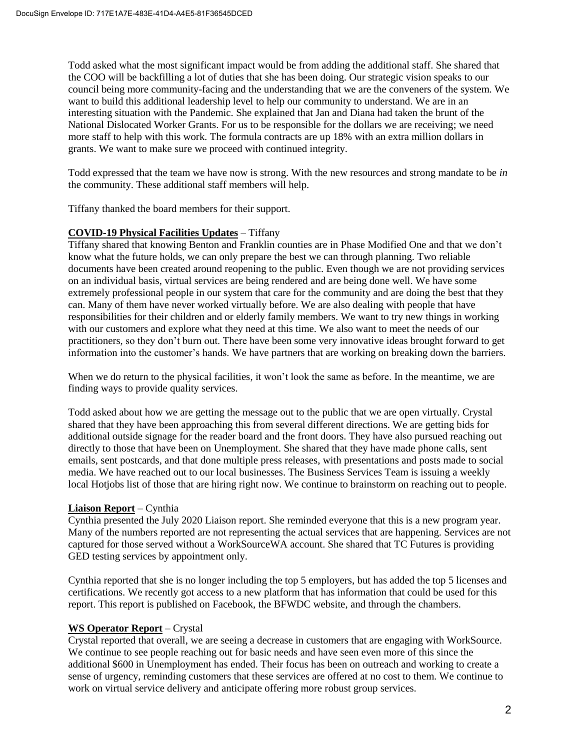Todd asked what the most significant impact would be from adding the additional staff. She shared that the COO will be backfilling a lot of duties that she has been doing. Our strategic vision speaks to our council being more community-facing and the understanding that we are the conveners of the system. We want to build this additional leadership level to help our community to understand. We are in an interesting situation with the Pandemic. She explained that Jan and Diana had taken the brunt of the National Dislocated Worker Grants. For us to be responsible for the dollars we are receiving; we need more staff to help with this work. The formula contracts are up 18% with an extra million dollars in grants. We want to make sure we proceed with continued integrity.

Todd expressed that the team we have now is strong. With the new resources and strong mandate to be *in* the community. These additional staff members will help.

Tiffany thanked the board members for their support.

## **COVID-19 Physical Facilities Updates** – Tiffany

Tiffany shared that knowing Benton and Franklin counties are in Phase Modified One and that we don't know what the future holds, we can only prepare the best we can through planning. Two reliable documents have been created around reopening to the public. Even though we are not providing services on an individual basis, virtual services are being rendered and are being done well. We have some extremely professional people in our system that care for the community and are doing the best that they can. Many of them have never worked virtually before. We are also dealing with people that have responsibilities for their children and or elderly family members. We want to try new things in working with our customers and explore what they need at this time. We also want to meet the needs of our practitioners, so they don't burn out. There have been some very innovative ideas brought forward to get information into the customer's hands. We have partners that are working on breaking down the barriers.

When we do return to the physical facilities, it won't look the same as before. In the meantime, we are finding ways to provide quality services.

Todd asked about how we are getting the message out to the public that we are open virtually. Crystal shared that they have been approaching this from several different directions. We are getting bids for additional outside signage for the reader board and the front doors. They have also pursued reaching out directly to those that have been on Unemployment. She shared that they have made phone calls, sent emails, sent postcards, and that done multiple press releases, with presentations and posts made to social media. We have reached out to our local businesses. The Business Services Team is issuing a weekly local Hotjobs list of those that are hiring right now. We continue to brainstorm on reaching out to people.

#### **Liaison Report** – Cynthia

Cynthia presented the July 2020 Liaison report. She reminded everyone that this is a new program year. Many of the numbers reported are not representing the actual services that are happening. Services are not captured for those served without a WorkSourceWA account. She shared that TC Futures is providing GED testing services by appointment only.

Cynthia reported that she is no longer including the top 5 employers, but has added the top 5 licenses and certifications. We recently got access to a new platform that has information that could be used for this report. This report is published on Facebook, the BFWDC website, and through the chambers.

## **WS Operator Report** – Crystal

Crystal reported that overall, we are seeing a decrease in customers that are engaging with WorkSource. We continue to see people reaching out for basic needs and have seen even more of this since the additional \$600 in Unemployment has ended. Their focus has been on outreach and working to create a sense of urgency, reminding customers that these services are offered at no cost to them. We continue to work on virtual service delivery and anticipate offering more robust group services.